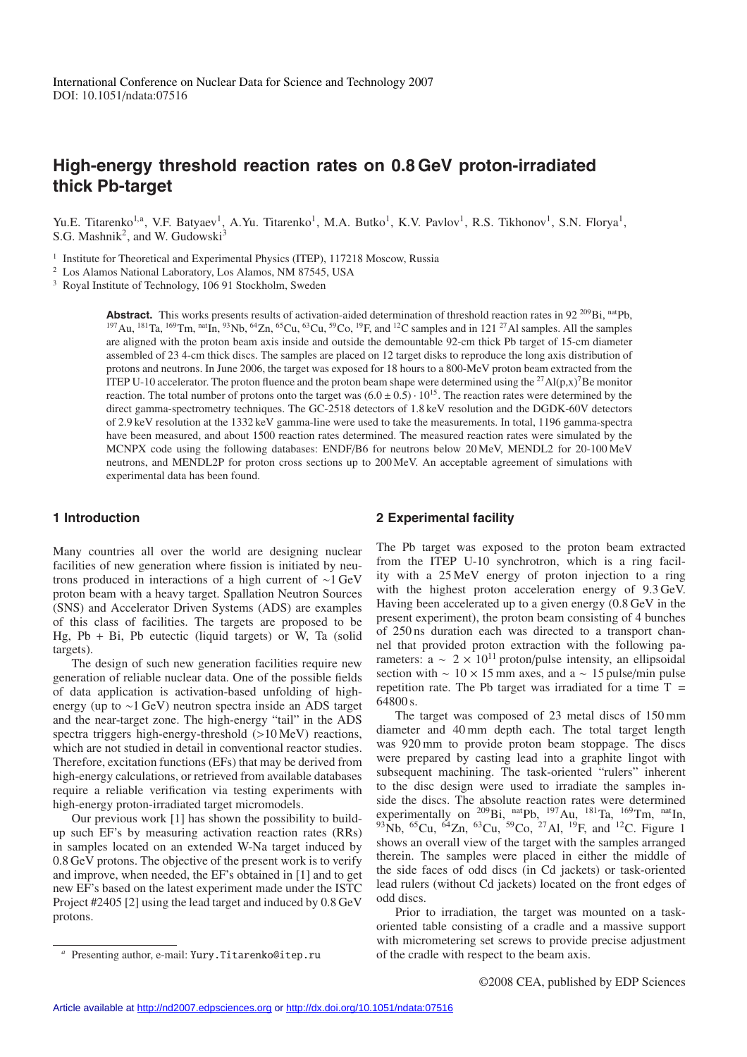# **High-energy threshold reaction rates on 0.8 GeV proton-irradiated thick Pb-target**

Yu.E. Titarenko<sup>1,a</sup>, V.F. Batyaev<sup>1</sup>, A.Yu. Titarenko<sup>1</sup>, M.A. Butko<sup>1</sup>, K.V. Pavlov<sup>1</sup>, R.S. Tikhonov<sup>1</sup>, S.N. Florya<sup>1</sup>, S.G. Mashnik<sup>2</sup>, and W. Gudowski<sup>3</sup>

<sup>1</sup> Institute for Theoretical and Experimental Physics (ITEP), 117218 Moscow, Russia

<sup>2</sup> Los Alamos National Laboratory, Los Alamos, NM 87545, USA

<sup>3</sup> Royal Institute of Technology, 106 91 Stockholm, Sweden

**Abstract.** This works presents results of activation-aided determination of threshold reaction rates in 92<sup>209</sup>Bi, natPb,  $197\text{Au}$ ,  $181\text{Ta}$ ,  $169\text{Tm}$ ,  $nat\text{In}$ ,  $93\text{Nb}$ ,  $64\text{Zn}$ ,  $65\text{Cu}$ ,  $59\text{Cu}$ ,  $59\text{Co}$ ,  $19\text{F}$ , and  $12\text{C}$  samples and in 121  $27\text{Al}$  samples. All the samples are aligned with the proton beam axis inside and outside the demountable 92-cm thick Pb target of 15-cm diameter assembled of 23 4-cm thick discs. The samples are placed on 12 target disks to reproduce the long axis distribution of protons and neutrons. In June 2006, the target was exposed for 18 hours to a 800-MeV proton beam extracted from the ITEP U-10 accelerator. The proton fluence and the proton beam shape were determined using the <sup>27</sup>Al(p,x)<sup>7</sup>Be monitor reaction. The total number of protons onto the target was  $(6.0 \pm 0.5) \cdot 10^{15}$ . The reaction rates were determined by the direct gamma-spectrometry techniques. The GC-2518 detectors of 1.8 keV resolution and the DGDK-60V detectors of 2.9 keV resolution at the 1332 keV gamma-line were used to take the measurements. In total, 1196 gamma-spectra have been measured, and about 1500 reaction rates determined. The measured reaction rates were simulated by the MCNPX code using the following databases: ENDF/B6 for neutrons below 20 MeV, MENDL2 for 20-100 MeV neutrons, and MENDL2P for proton cross sections up to 200 MeV. An acceptable agreement of simulations with experimental data has been found.

#### **1 Introduction**

Many countries all over the world are designing nuclear facilities of new generation where fission is initiated by neutrons produced in interactions of a high current of ∼1 GeV proton beam with a heavy target. Spallation Neutron Sources (SNS) and Accelerator Driven Systems (ADS) are examples of this class of facilities. The targets are proposed to be Hg,  $Pb + Bi$ ,  $Pb$  eutectic (liquid targets) or W, Ta (solid targets).

The design of such new generation facilities require new generation of reliable nuclear data. One of the possible fields of data application is activation-based unfolding of highenergy (up to ∼1 GeV) neutron spectra inside an ADS target and the near-target zone. The high-energy "tail" in the ADS spectra triggers high-energy-threshold (>10 MeV) reactions, which are not studied in detail in conventional reactor studies. Therefore, excitation functions (EFs) that may be derived from high-energy calculations, or retrieved from available databases require a reliable verification via testing experiments with high-energy proton-irradiated target micromodels.

Our previous work [1] has shown the possibility to buildup such EF's by measuring activation reaction rates (RRs) in samples located on an extended W-Na target induced by  $0.8$  GeV protons. The objective of the present work is to verify and improve, when needed, the EF's obtained in [1] and to get new EF's based on the latest experiment made under the ISTC Project #2405 [2] using the lead target and induced by 0.8 GeV protons.

## **2 Experimental facility**

The Pb target was exposed to the proton beam extracted from the ITEP U-10 synchrotron, which is a ring facility with a 25 MeV energy of proton injection to a ring with the highest proton acceleration energy of 9.3 GeV. Having been accelerated up to a given energy (0.8 GeV in the present experiment), the proton beam consisting of 4 bunches of 250 ns duration each was directed to a transport channel that provided proton extraction with the following parameters:  $a \sim 2 \times 10^{11}$  proton/pulse intensity, an ellipsoidal section with  $\sim 10 \times 15$  mm axes, and a  $\sim 15$  pulse/min pulse repetition rate. The Pb target was irradiated for a time  $T =$ 64800 s.

The target was composed of 23 metal discs of 150 mm diameter and 40 mm depth each. The total target length was 920 mm to provide proton beam stoppage. The discs were prepared by casting lead into a graphite lingot with subsequent machining. The task-oriented "rulers" inherent to the disc design were used to irradiate the samples inside the discs. The absolute reaction rates were determined experimentally on  $^{209}$ Bi, natpb,  $^{197}$ Au,  $^{181}$ Ta,  $^{169}$ Tm, natIn,  $^{93}$ Nb,  $^{65}$ Cu,  $^{64}$ Zn,  $^{63}$ Cu,  $^{59}$ Co,  $^{27}$ Al,  $^{19}$ F, and  $^{12}$ C. Figure 1 shows an overall view of the target with the samples arranged therein. The samples were placed in either the middle of the side faces of odd discs (in Cd jackets) or task-oriented lead rulers (without Cd jackets) located on the front edges of odd discs.

Prior to irradiation, the target was mounted on a taskoriented table consisting of a cradle and a massive support with micrometering set screws to provide precise adjustment of the cradle with respect to the beam axis.

Presenting author, e-mail: Yury.Titarenko@itep.ru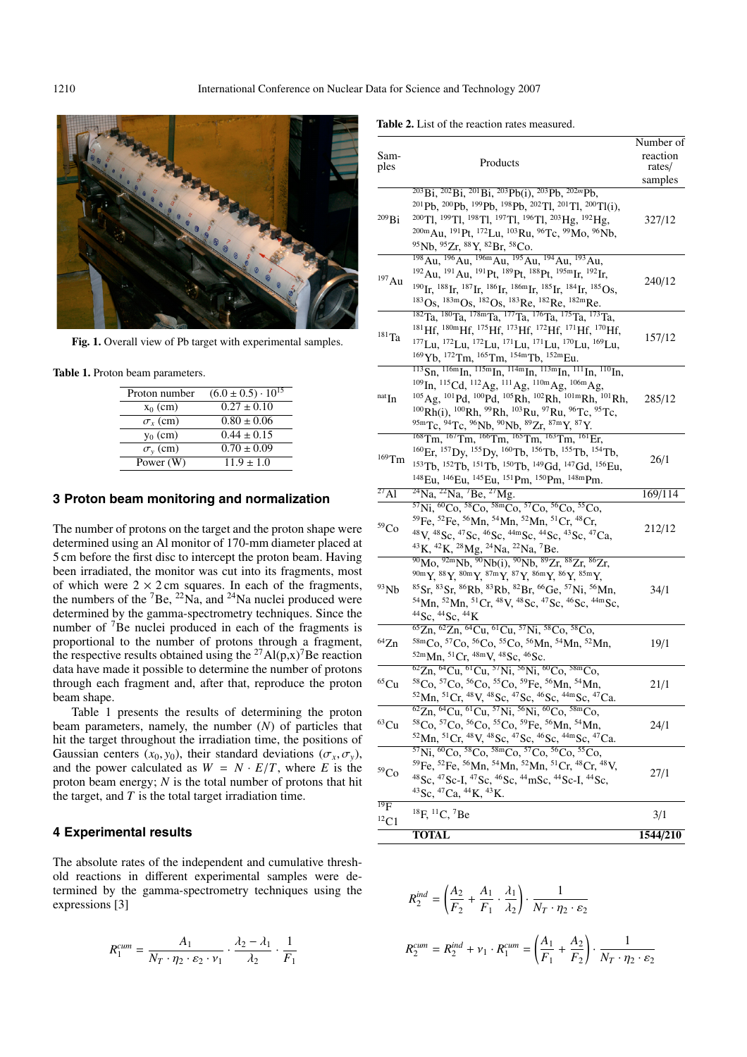

**Fig. 1.** Overall view of Pb target with experimental samples.

**Table 1.** Proton beam parameters.

| Proton number     | $(6.0 \pm 0.5) \cdot 10^{15}$ |
|-------------------|-------------------------------|
| $x_0$ (cm)        | $0.27 \pm 0.10$               |
| $\sigma_r$ (cm)   | $0.80 \pm 0.06$               |
| $y_0$ (cm)        | $0.44 \pm 0.15$               |
| $\sigma_{v}$ (cm) | $0.70 \pm 0.09$               |
| Power $(W)$       | $11.9 \pm 1.0$                |

#### **3 Proton beam monitoring and normalization**

The number of protons on the target and the proton shape were determined using an Al monitor of 170-mm diameter placed at 5 cm before the first disc to intercept the proton beam. Having been irradiated, the monitor was cut into its fragments, most of which were  $2 \times 2$  cm squares. In each of the fragments, the numbers of the  ${}^{7}$ Be,  ${}^{22}$ Na, and  ${}^{24}$ Na nuclei produced were determined by the gamma-spectrometry techniques. Since the number of <sup>7</sup>Be nuclei produced in each of the fragments is proportional to the number of protons through a fragment, the respective results obtained using the <sup>27</sup>Al(p,x)<sup>7</sup>Be reaction data have made it possible to determine the number of protons through each fragment and, after that, reproduce the proton beam shape.

Table 1 presents the results of determining the proton beam parameters, namely, the number (*N*) of particles that hit the target throughout the irradiation time, the positions of Gaussian centers  $(x_0, y_0)$ , their standard deviations  $(\sigma_x, \sigma_y)$ , and the power calculated as  $W = N \cdot E/T$ , where *E* is the proton beam energy; *N* is the total number of protons that hit the target, and *T* is the total target irradiation time.

# **4 Experimental results**

The absolute rates of the independent and cumulative threshold reactions in different experimental samples were determined by the gamma-spectrometry techniques using the expressions [3]

$$
R_1^{cum} = \frac{A_1}{N_T \cdot \eta_2 \cdot \varepsilon_2 \cdot \nu_1} \cdot \frac{\lambda_2 - \lambda_1}{\lambda_2} \cdot \frac{1}{F_1}
$$

| <b>Table 2.</b> List of the reaction rates measured. |
|------------------------------------------------------|
|------------------------------------------------------|

| Sam-<br>ples          | Products                                                                                                                                                                                                                                                                                                                                                                                                                                                                                                                                              | Number of<br>reaction<br>rates/<br>samples |
|-----------------------|-------------------------------------------------------------------------------------------------------------------------------------------------------------------------------------------------------------------------------------------------------------------------------------------------------------------------------------------------------------------------------------------------------------------------------------------------------------------------------------------------------------------------------------------------------|--------------------------------------------|
| 209Bi                 | $^{203}$ Bi, $^{202}$ Bi, $^{201}$ Bi, $^{203}$ Pb(i), $^{203}$ Pb, $^{202m}$ Pb,<br><sup>201</sup> Pb, <sup>200</sup> Pb, <sup>199</sup> Pb, <sup>198</sup> Pb, <sup>202</sup> Tl, <sup>201</sup> Tl, <sup>200</sup> Tl(i),<br><sup>200</sup> Tl, <sup>199</sup> Tl, <sup>198</sup> Tl, <sup>197</sup> Tl, <sup>196</sup> Tl, <sup>203</sup> Hg, <sup>192</sup> Hg,<br>200m Au, <sup>191</sup> Pt, <sup>172</sup> Lu, <sup>103</sup> Ru, <sup>96</sup> Tc, <sup>99</sup> Mo, <sup>96</sup> Nb,<br>95 Nb, 95 Zr, 88 Y, 82 Br, 58 Co.                  | 327/12                                     |
| 197Au                 | <sup>198</sup> Au, <sup>196</sup> Au, <sup>196m</sup> Au, <sup>195</sup> Au, <sup>194</sup> Au, <sup>193</sup> Au,<br><sup>192</sup> Au, <sup>191</sup> Au, <sup>191</sup> Pt, <sup>189</sup> Pt, <sup>188</sup> Pt, <sup>195m</sup> Ir, <sup>192</sup> Ir,<br><sup>190</sup> Ir, <sup>188</sup> Ir, <sup>187</sup> Ir, <sup>186</sup> Ir, <sup>186m</sup> Ir, <sup>185</sup> Ir, <sup>184</sup> Ir, <sup>185</sup> Os,<br><sup>183</sup> Os, <sup>183m</sup> Os, <sup>182</sup> Os, <sup>183</sup> Re, <sup>182</sup> Re, <sup>182m</sup> Re.        | 240/12                                     |
| $181$ Ta              | <sup>182</sup> Ta, <sup>180</sup> Ta, <sup>178m</sup> Ta, <sup>177</sup> Ta, <sup>176</sup> Ta, <sup>175</sup> Ta, <sup>173</sup> Ta,<br><sup>181</sup> Hf, <sup>180m</sup> Hf, <sup>175</sup> Hf, <sup>173</sup> Hf, <sup>172</sup> Hf, <sup>171</sup> Hf, <sup>170</sup> Hf,<br><sup>177</sup> Lu, <sup>172</sup> Lu, <sup>172</sup> Lu, <sup>171</sup> Lu, <sup>171</sup> Lu, <sup>170</sup> Lu, <sup>169</sup> Lu,<br><sup>169</sup> Yb, <sup>172</sup> Tm, <sup>165</sup> Tm, <sup>154m</sup> Tb, <sup>152m</sup> Eu.                            | 157/12                                     |
| <sup>nat</sup> In     | $^{113}$ Sn, $^{116}$ m $In,$ $^{115}$ m $In,$ $^{114}$ m $In,$ $^{113}$ m $In,$ $^{111}In,$ $^{110}In,$<br>$^{109}$ In, $^{115}$ Cd, $^{112}$ Ag, $^{111}$ Ag, $^{110m}$ Ag, $^{106m}$ Ag,<br><sup>105</sup> Ag, <sup>101</sup> Pd, <sup>100</sup> Pd, <sup>105</sup> Rh, <sup>102</sup> Rh, <sup>101m</sup> Rh, <sup>101</sup> Rh,<br><sup>100</sup> Rh(i), <sup>100</sup> Rh, <sup>99</sup> Rh, <sup>103</sup> Ru, <sup>97</sup> Ru, <sup>96</sup> Tc, <sup>95</sup> Tc,<br>95mTc, 94Tc, 96Nb, 90Nb, 89Zr, 87mY, 87Y.                              | 285/12                                     |
| $169$ Tm              | <sup>168</sup> Tm, <sup>167</sup> Tm, <sup>166</sup> Tm, <sup>165</sup> Tm, <sup>163</sup> Tm, <sup>161</sup> Er,<br><sup>160</sup> Er, <sup>157</sup> Dy, <sup>155</sup> Dy, <sup>160</sup> Tb, <sup>156</sup> Tb, <sup>155</sup> Tb, <sup>154</sup> Tb,<br><sup>153</sup> Tb, <sup>152</sup> Tb, <sup>151</sup> Tb, <sup>150</sup> Tb, <sup>149</sup> Gd, <sup>147</sup> Gd, <sup>156</sup> Eu,<br><sup>148</sup> Eu, <sup>146</sup> Eu, <sup>145</sup> Eu, <sup>151</sup> Pm, <sup>150</sup> Pm, <sup>148m</sup> Pm.                               | 26/1                                       |
| $^{27}$ Al            | $^{24}$ Na, $^{22}$ Na, $^{7}$ Be, $^{27}$ Mg.                                                                                                                                                                                                                                                                                                                                                                                                                                                                                                        | 169/114                                    |
| 59 <sub>Co</sub>      | $^{57}$ Ni, $^{60}$ Co, $^{58}$ Co, $^{58}$ mCo, $^{57}$ Co, $^{56}$ Co, $^{55}$ Co,<br><sup>59</sup> Fe, <sup>52</sup> Fe, <sup>56</sup> Mn, <sup>54</sup> Mn, <sup>52</sup> Mn, <sup>51</sup> Cr, <sup>48</sup> Cr,<br>48V, 48Sc, 47Sc, 46Sc, 44mSc, 44Sc, 43Sc, 47Ca,<br><sup>43</sup> K, <sup>42</sup> K, <sup>28</sup> Mg, <sup>24</sup> Na, <sup>22</sup> Na, <sup>7</sup> Be.                                                                                                                                                                  | 212/12                                     |
| $93$ Nb               | $\frac{90 \text{Mo}}{90 \text{Mo}}$ , $\frac{92 \text{m}}{90}$ Nb(i), $\frac{90 \text{Nb}}{90}$ , $\frac{89 \text{Zr}}{92 \text{r}}$ , $\frac{88 \text{Zr}}{92 \text{r}}$<br>90mY, 88Y, 80mY, 87mY, 87Y, 86mY, 86Y, 85mY,<br><sup>85</sup> Sr, <sup>83</sup> Sr, <sup>86</sup> Rb, <sup>83</sup> Rb, <sup>82</sup> Br, <sup>66</sup> Ge, <sup>57</sup> Ni, <sup>56</sup> Mn,<br><sup>54</sup> Mn, <sup>52</sup> Mn, <sup>51</sup> Cr, <sup>48</sup> V, <sup>48</sup> Sc, <sup>47</sup> Sc, <sup>46</sup> Sc, <sup>44m</sup> Sc,<br>44 Sc, 44 Sc, 44 K | 34/1                                       |
| ${}^{64}Zn$           | ${}^{65}$ Zn, ${}^{62}$ Zn, ${}^{64}$ Cu, ${}^{61}$ Cu, ${}^{57}$ Ni, ${}^{58}$ Co, ${}^{58}$ Co,<br><sup>58m</sup> Co, <sup>57</sup> Co, <sup>56</sup> Co, <sup>55</sup> Co, <sup>56</sup> Mn, <sup>54</sup> Mn, <sup>52</sup> Mn,<br>52mMn, 51Cr, 48mV, 48Sc, 46Sc.                                                                                                                                                                                                                                                                                 | 19/1                                       |
| ${}^{65}Cu$           | ${}^{62}$ Zn, ${}^{64}$ Cu, ${}^{61}$ Cu, ${}^{57}$ Ni, ${}^{56}$ Ni, ${}^{60}$ Co, ${}^{58}$ <sup>m</sup> Co,<br><sup>58</sup> Co, <sup>57</sup> Co, <sup>56</sup> Co, <sup>55</sup> Co, <sup>59</sup> Fe, <sup>56</sup> Mn, <sup>54</sup> Mn,<br><sup>52</sup> Mn, <sup>51</sup> Cr, <sup>48</sup> V, <sup>48</sup> Sc, <sup>47</sup> Sc, <sup>46</sup> Sc, <sup>44m</sup> Sc, <sup>47</sup> Ca.                                                                                                                                                    | 21/1                                       |
| ${}^{63}$ Cu          | ${}^{62}$ Zn, ${}^{64}$ Cu, ${}^{61}$ Cu, ${}^{57}$ Ni, ${}^{56}$ Ni, ${}^{60}$ Co, ${}^{58}$ mCo,<br><sup>58</sup> Co, <sup>57</sup> Co, <sup>56</sup> Co, <sup>55</sup> Co, <sup>59</sup> Fe, <sup>56</sup> Mn, <sup>54</sup> Mn,<br><sup>52</sup> Mn, <sup>51</sup> Cr, <sup>48</sup> V, <sup>48</sup> Sc, <sup>47</sup> Sc, <sup>46</sup> Sc, <sup>44m</sup> Sc, <sup>47</sup> Ca.                                                                                                                                                                | 24/1                                       |
| 59 <sub>Co</sub>      | ${}^{57}\text{Ni}, {}^{60}\text{Co}, {}^{58}\text{Co}, {}^{58}\text{mCo}, {}^{57}\text{Co}, {}^{56}\text{Co}, {}^{55}\text{Co},$<br><sup>59</sup> Fe, <sup>52</sup> Fe, <sup>56</sup> Mn, <sup>54</sup> Mn, <sup>52</sup> Mn, <sup>51</sup> Cr, <sup>48</sup> Cr, <sup>48</sup> V,<br>48 Sc, 47 Sc-I, 47 Sc, 46 Sc, 44 mSc, 44 Sc-I, 44 Sc,<br>43 Sc, 47 Ca, 44 K, 43 K.                                                                                                                                                                              | 27/1                                       |
| $^{19}F$<br>$^{12}C1$ | <sup>18</sup> F, <sup>11</sup> C, <sup>7</sup> Be                                                                                                                                                                                                                                                                                                                                                                                                                                                                                                     | 3/1                                        |
|                       | <b>TOTAL</b>                                                                                                                                                                                                                                                                                                                                                                                                                                                                                                                                          | 1544/210                                   |

$$
R_2^{ind} = \left(\frac{A_2}{F_2} + \frac{A_1}{F_1} \cdot \frac{\lambda_1}{\lambda_2}\right) \cdot \frac{1}{N_T \cdot \eta_2 \cdot \varepsilon_2}
$$
  

$$
R_2^{cum} = R_2^{ind} + \nu_1 \cdot R_1^{cum} = \left(\frac{A_1}{F_1} + \frac{A_2}{F_2}\right) \cdot \frac{1}{N_T \cdot \eta_2 \cdot \varepsilon_2}
$$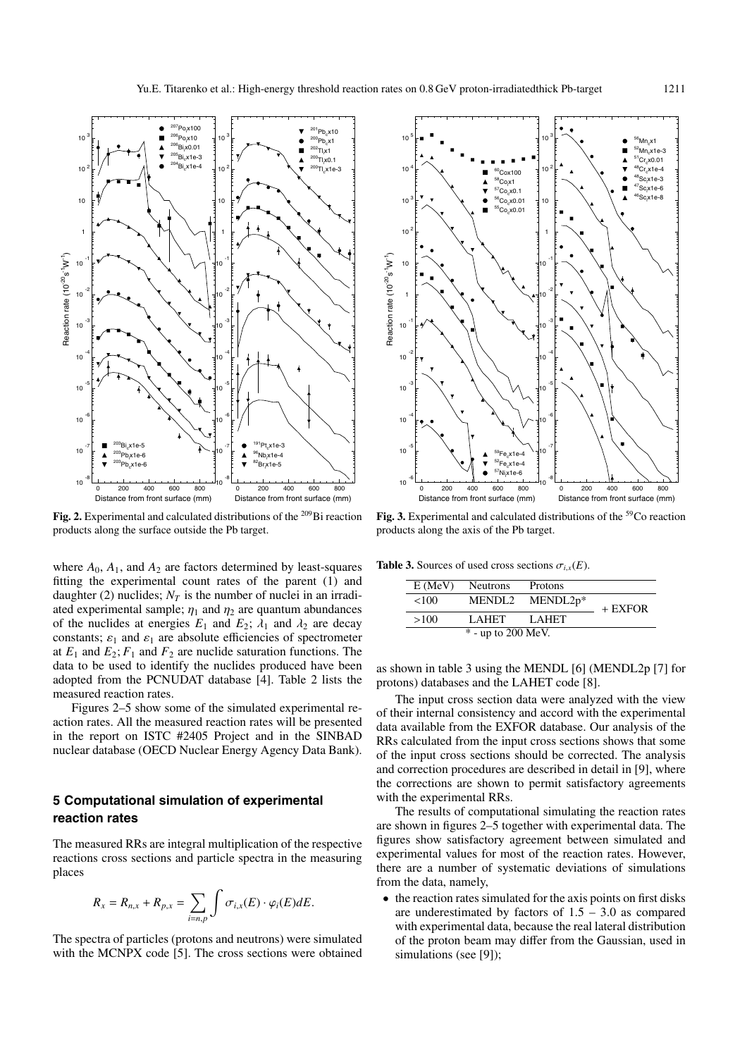

Fig. 2. Experimental and calculated distributions of the <sup>209</sup>Bi reaction products along the surface outside the Pb target.

where  $A_0$ ,  $A_1$ , and  $A_2$  are factors determined by least-squares fitting the experimental count rates of the parent (1) and daughter (2) nuclides;  $N_T$  is the number of nuclei in an irradiated experimental sample;  $\eta_1$  and  $\eta_2$  are quantum abundances of the nuclides at energies  $E_1$  and  $E_2$ ;  $\lambda_1$  and  $\lambda_2$  are decay constants;  $\varepsilon_1$  and  $\varepsilon_1$  are absolute efficiencies of spectrometer at  $E_1$  and  $E_2$ ;  $F_1$  and  $F_2$  are nuclide saturation functions. The data to be used to identify the nuclides produced have been adopted from the PCNUDAT database [4]. Table 2 lists the measured reaction rates.

Figures 2–5 show some of the simulated experimental reaction rates. All the measured reaction rates will be presented in the report on ISTC #2405 Project and in the SINBAD nuclear database (OECD Nuclear Energy Agency Data Bank).

# **5 Computational simulation of experimental reaction rates**

The measured RRs are integral multiplication of the respective reactions cross sections and particle spectra in the measuring places

$$
R_x = R_{n,x} + R_{p,x} = \sum_{i=n,p} \int \sigma_{i,x}(E) \cdot \varphi_i(E) dE.
$$

The spectra of particles (protons and neutrons) were simulated with the MCNPX code [5]. The cross sections were obtained



**Fig. 3.** Experimental and calculated distributions of the <sup>59</sup>Co reaction products along the axis of the Pb target.

**Table 3.** Sources of used cross sections  $\sigma_{i,x}(E)$ .

| $E$ (MeV)            | <b>Neutrons</b> | Protons      |           |  |
|----------------------|-----------------|--------------|-----------|--|
| <100                 | <b>MENDL2</b>   | $MENDL2p*$   | $+$ EXFOR |  |
| >100                 | <b>LAHET</b>    | <b>LAHET</b> |           |  |
| $*$ - up to 200 MeV. |                 |              |           |  |

as shown in table 3 using the MENDL [6] (MENDL2p [7] for protons) databases and the LAHET code [8].

The input cross section data were analyzed with the view of their internal consistency and accord with the experimental data available from the EXFOR database. Our analysis of the RRs calculated from the input cross sections shows that some of the input cross sections should be corrected. The analysis and correction procedures are described in detail in [9], where the corrections are shown to permit satisfactory agreements with the experimental RRs.

The results of computational simulating the reaction rates are shown in figures 2–5 together with experimental data. The figures show satisfactory agreement between simulated and experimental values for most of the reaction rates. However, there are a number of systematic deviations of simulations from the data, namely,

• the reaction rates simulated for the axis points on first disks are underestimated by factors of  $1.5 - 3.0$  as compared with experimental data, because the real lateral distribution of the proton beam may differ from the Gaussian, used in simulations (see [9]);